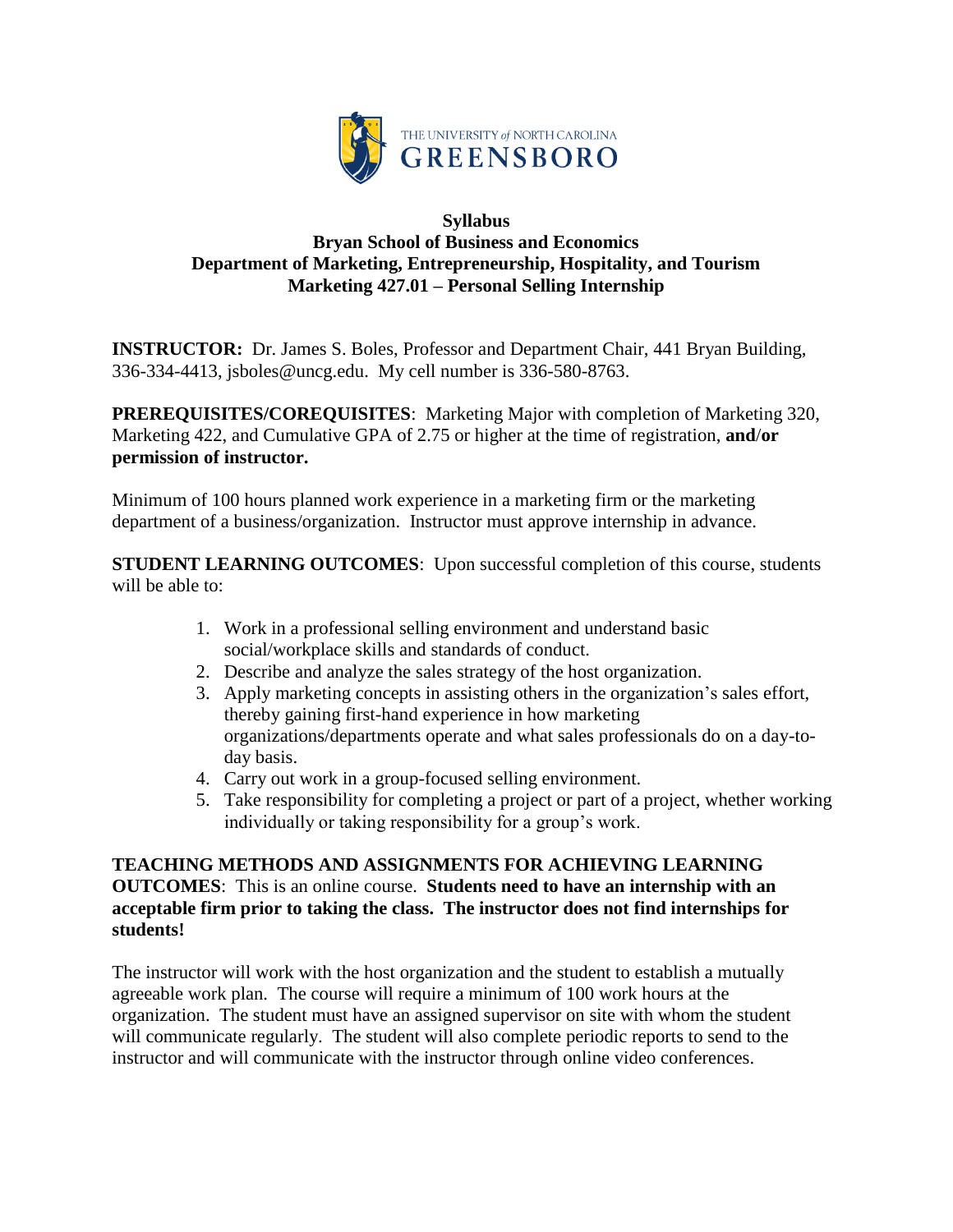

## **Syllabus Bryan School of Business and Economics Department of Marketing, Entrepreneurship, Hospitality, and Tourism Marketing 427.01 – Personal Selling Internship**

**INSTRUCTOR:** Dr. James S. Boles, Professor and Department Chair, 441 Bryan Building, 336-334-4413, jsboles@uncg.edu. My cell number is 336-580-8763.

**PREREQUISITES/COREQUISITES**: Marketing Major with completion of Marketing 320, Marketing 422, and Cumulative GPA of 2.75 or higher at the time of registration, **and**/**or permission of instructor.**

Minimum of 100 hours planned work experience in a marketing firm or the marketing department of a business/organization. Instructor must approve internship in advance.

**STUDENT LEARNING OUTCOMES**: Upon successful completion of this course, students will be able to:

- 1. Work in a professional selling environment and understand basic social/workplace skills and standards of conduct.
- 2. Describe and analyze the sales strategy of the host organization.
- 3. Apply marketing concepts in assisting others in the organization's sales effort, thereby gaining first-hand experience in how marketing organizations/departments operate and what sales professionals do on a day-today basis.
- 4. Carry out work in a group-focused selling environment.
- 5. Take responsibility for completing a project or part of a project, whether working individually or taking responsibility for a group's work.

# **TEACHING METHODS AND ASSIGNMENTS FOR ACHIEVING LEARNING OUTCOMES**: This is an online course. **Students need to have an internship with an acceptable firm prior to taking the class. The instructor does not find internships for students!**

The instructor will work with the host organization and the student to establish a mutually agreeable work plan. The course will require a minimum of 100 work hours at the organization. The student must have an assigned supervisor on site with whom the student will communicate regularly. The student will also complete periodic reports to send to the instructor and will communicate with the instructor through online video conferences.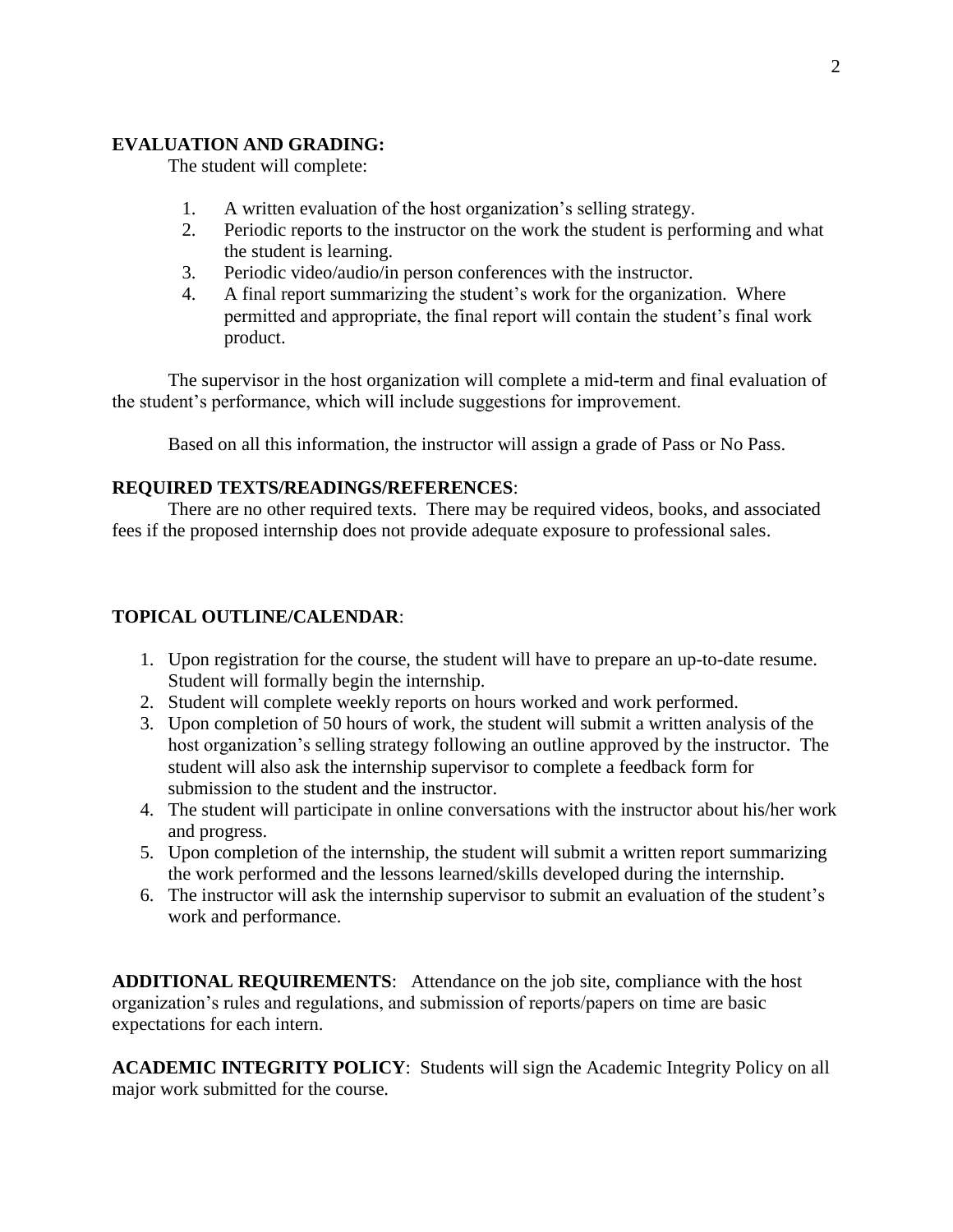## **EVALUATION AND GRADING:**

The student will complete:

- 1. A written evaluation of the host organization's selling strategy.
- 2. Periodic reports to the instructor on the work the student is performing and what the student is learning.
- 3. Periodic video/audio/in person conferences with the instructor.
- 4. A final report summarizing the student's work for the organization. Where permitted and appropriate, the final report will contain the student's final work product.

The supervisor in the host organization will complete a mid-term and final evaluation of the student's performance, which will include suggestions for improvement.

Based on all this information, the instructor will assign a grade of Pass or No Pass.

# **REQUIRED TEXTS/READINGS/REFERENCES**:

There are no other required texts. There may be required videos, books, and associated fees if the proposed internship does not provide adequate exposure to professional sales.

# **TOPICAL OUTLINE/CALENDAR**:

- 1. Upon registration for the course, the student will have to prepare an up-to-date resume. Student will formally begin the internship.
- 2. Student will complete weekly reports on hours worked and work performed.
- 3. Upon completion of 50 hours of work, the student will submit a written analysis of the host organization's selling strategy following an outline approved by the instructor. The student will also ask the internship supervisor to complete a feedback form for submission to the student and the instructor.
- 4. The student will participate in online conversations with the instructor about his/her work and progress.
- 5. Upon completion of the internship, the student will submit a written report summarizing the work performed and the lessons learned/skills developed during the internship.
- 6. The instructor will ask the internship supervisor to submit an evaluation of the student's work and performance.

**ADDITIONAL REQUIREMENTS**: Attendance on the job site, compliance with the host organization's rules and regulations, and submission of reports/papers on time are basic expectations for each intern.

**ACADEMIC INTEGRITY POLICY**: Students will sign the Academic Integrity Policy on all major work submitted for the course.